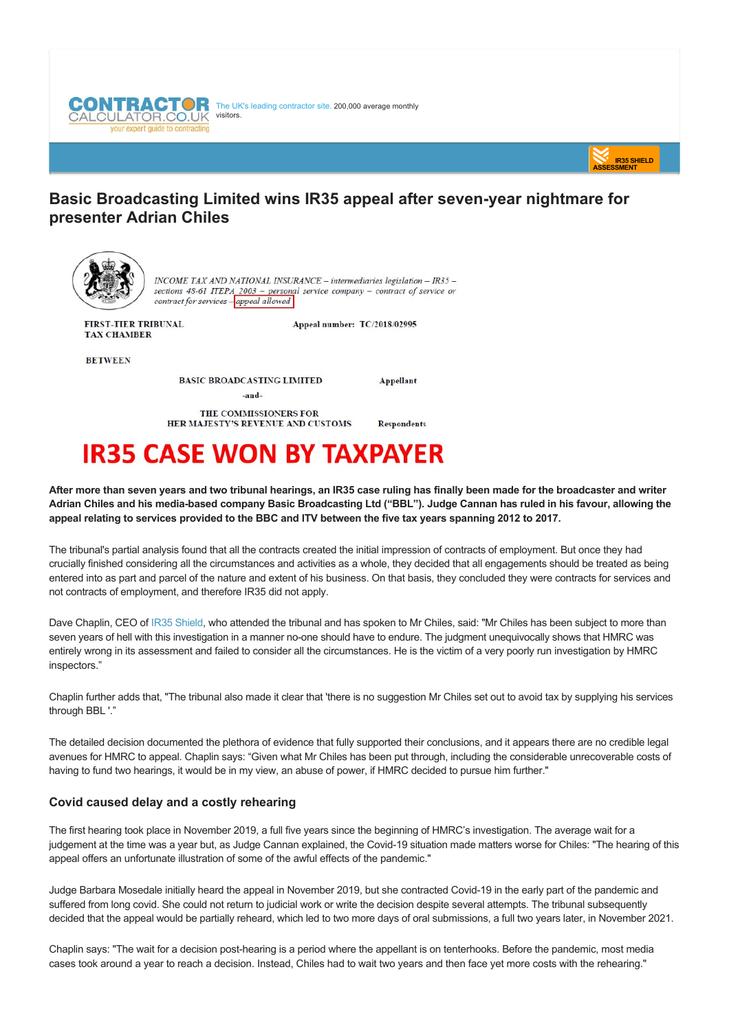



# **Basic Broadcasting Limited wins IR35 appeal after sevenyear nightmare for presenter Adrian Chiles**



INCOME TAX AND NATIONAL INSURANCE - intermediaries legislation - IR35 sections  $48-61$  ITEPA  $2003$  - personal service company - contract of service or contract for services - appeal allowed

**FIRST-TIER TRIBUNAL** TAX CHAMBER

Appeal number: TC/2018/02995

Appellant

**Respondents** 

**BETWEEN** 

**BASIC BROADCASTING LIMITED** 

-and-

THE COMMISSIONERS FOR HER MAJESTY'S REVENUE AND CUSTOMS

# **IR35 CASE WON BY TAXPAYER**

**After more than seven years and two tribunal hearings, an IR35 case ruling has finally been made for the broadcaster and writer Adrian Chiles and his mediabased company Basic Broadcasting Ltd ("BBL"). Judge Cannan has ruled in his favour, allowing the appeal relating to services provided to the BBC and ITV between the five tax years spanning 2012 to 2017.**

The tribunal's partial analysis found that all the contracts created the initial impression of contracts of employment. But once they had crucially finished considering all the circumstances and activities as a whole, they decided that all engagements should be treated as being entered into as part and parcel of the nature and extent of his business. On that basis, they concluded they were contracts for services and not contracts of employment, and therefore IR35 did not apply.

Dave Chaplin, CEO of [IR35 Shield,](https://www.ir35shield.co.uk) who attended the tribunal and has spoken to Mr Chiles, said: "Mr Chiles has been subject to more than seven years of hell with this investigation in a manner no-one should have to endure. The judgment unequivocally shows that HMRC was entirely wrong in its assessment and failed to consider all the circumstances. He is the victim of a very poorly run investigation by HMRC inspectors."

Chaplin further adds that, "The tribunal also made it clear that 'there is no suggestion Mr Chiles set out to avoid tax by supplying his services through BBL '."

The detailed decision documented the plethora of evidence that fully supported their conclusions, and it appears there are no credible legal avenues for HMRC to appeal. Chaplin says: "Given what Mr Chiles has been put through, including the considerable unrecoverable costs of having to fund two hearings, it would be in my view, an abuse of power, if HMRC decided to pursue him further."

## **Covid caused delay and a costly rehearing**

The first hearing took place in November 2019, a full five years since the beginning of HMRC's investigation. The average wait for a judgement at the time was a year but, as Judge Cannan explained, the Covid-19 situation made matters worse for Chiles: "The hearing of this appeal offers an unfortunate illustration of some of the awful effects of the pandemic."

Judge Barbara Mosedale initially heard the appeal in November 2019, but she contracted Covid-19 in the early part of the pandemic and suffered from long covid. She could not return to judicial work or write the decision despite several attempts. The tribunal subsequently decided that the appeal would be partially reheard, which led to two more days of oral submissions, a full two years later, in November 2021.

Chaplin says: "The wait for a decision posthearing is a period where the appellant is on tenterhooks. Before the pandemic, most media cases took around a year to reach a decision. Instead, Chiles had to wait two years and then face yet more costs with the rehearing."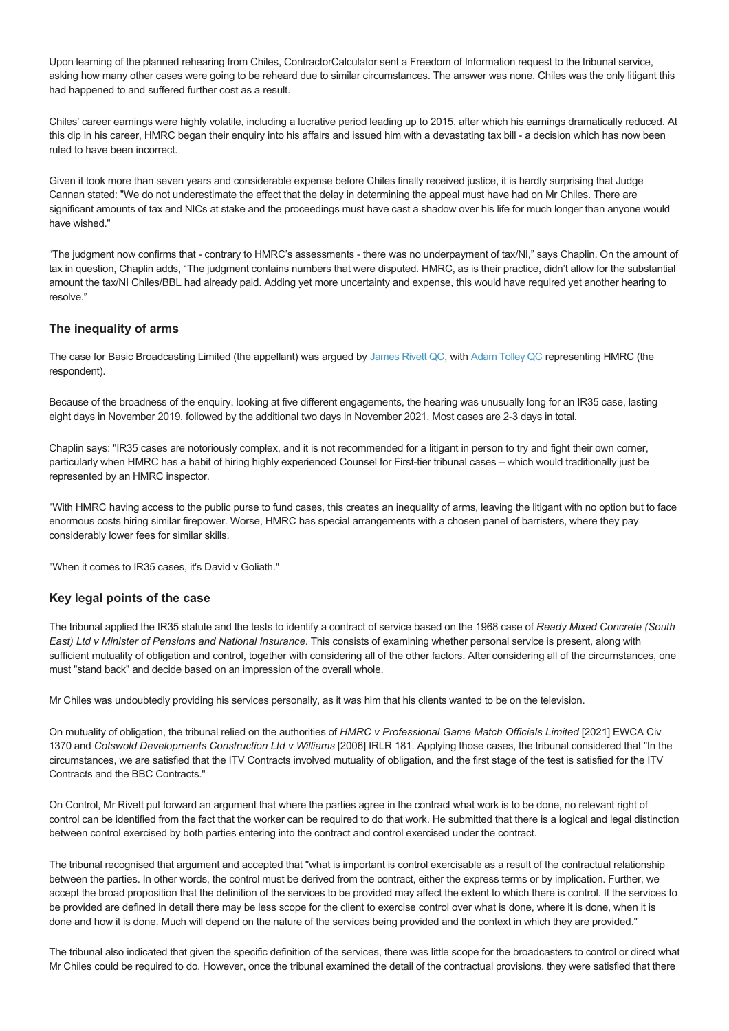Upon learning of the planned rehearing from Chiles, ContractorCalculator sent a Freedom of Information request to the tribunal service, asking how many other cases were going to be reheard due to similar circumstances. The answer was none. Chiles was the only litigant this had happened to and suffered further cost as a result.

Chiles' career earnings were highly volatile, including a lucrative period leading up to 2015, after which his earnings dramatically reduced. At this dip in his career, HMRC began their enquiry into his affairs and issued him with a devastating tax bill - a decision which has now been ruled to have been incorrect.

Given it took more than seven years and considerable expense before Chiles finally received justice, it is hardly surprising that Judge Cannan stated: "We do not underestimate the effect that the delay in determining the appeal must have had on Mr Chiles. There are significant amounts of tax and NICs at stake and the proceedings must have cast a shadow over his life for much longer than anyone would have wished."

"The judgment now confirms that contrary to HMRC's assessments there was no underpayment of tax/NI," says Chaplin. On the amount of tax in question, Chaplin adds, "The judgment contains numbers that were disputed. HMRC, as is their practice, didn't allow for the substantial amount the tax/NI Chiles/BBL had already paid. Adding yet more uncertainty and expense, this would have required yet another hearing to resolve."

### **The inequality of arms**

The case for Basic Broadcasting Limited (the appellant) was argued by [James Rivett QC,](https://www.pumptax.com/barrister/james-rivett-qc/) with [Adam Tolley QC](https://www.fountaincourt.co.uk/people/adam-tolley/) representing HMRC (the respondent).

Because of the broadness of the enquiry, looking at five different engagements, the hearing was unusually long for an IR35 case, lasting eight days in November 2019, followed by the additional two days in November 2021. Most cases are 23 days in total.

Chaplin says: "IR35 cases are notoriously complex, and it is not recommended for a litigant in person to try and fight their own corner, particularly when HMRC has a habit of hiring highly experienced Counsel for First-tier tribunal cases – which would traditionally just be represented by an HMRC inspector.

"With HMRC having access to the public purse to fund cases, this creates an inequality of arms, leaving the litigant with no option but to face enormous costs hiring similar firepower. Worse, HMRC has special arrangements with a chosen panel of barristers, where they pay considerably lower fees for similar skills.

"When it comes to IR35 cases, it's David v Goliath."

#### **Key legal points of the case**

The tribunal applied the IR35 statute and the tests to identify a contract of service based on the 1968 case of *Ready Mixed Concrete (South East) Ltd v Minister of Pensions and National Insurance*. This consists of examining whether personal service is present, along with sufficient mutuality of obligation and control, together with considering all of the other factors. After considering all of the circumstances, one must "stand back" and decide based on an impression of the overall whole.

Mr Chiles was undoubtedly providing his services personally, as it was him that his clients wanted to be on the television.

On mutuality of obligation, the tribunal relied on the authorities of *HMRC v Professional Game Match Officials Limited* [2021] EWCA Civ 1370 and *Cotswold Developments Construction Ltd v Williams* [2006] IRLR 181. Applying those cases, the tribunal considered that "In the circumstances, we are satisfied that the ITV Contracts involved mutuality of obligation, and the first stage of the test is satisfied for the ITV Contracts and the BBC Contracts."

On Control, Mr Rivett put forward an argument that where the parties agree in the contract what work is to be done, no relevant right of control can be identified from the fact that the worker can be required to do that work. He submitted that there is a logical and legal distinction between control exercised by both parties entering into the contract and control exercised under the contract.

The tribunal recognised that argument and accepted that "what is important is control exercisable as a result of the contractual relationship between the parties. In other words, the control must be derived from the contract, either the express terms or by implication. Further, we accept the broad proposition that the definition of the services to be provided may affect the extent to which there is control. If the services to be provided are defined in detail there may be less scope for the client to exercise control over what is done, where it is done, when it is done and how it is done. Much will depend on the nature of the services being provided and the context in which they are provided."

The tribunal also indicated that given the specific definition of the services, there was little scope for the broadcasters to control or direct what Mr Chiles could be required to do. However, once the tribunal examined the detail of the contractual provisions, they were satisfied that there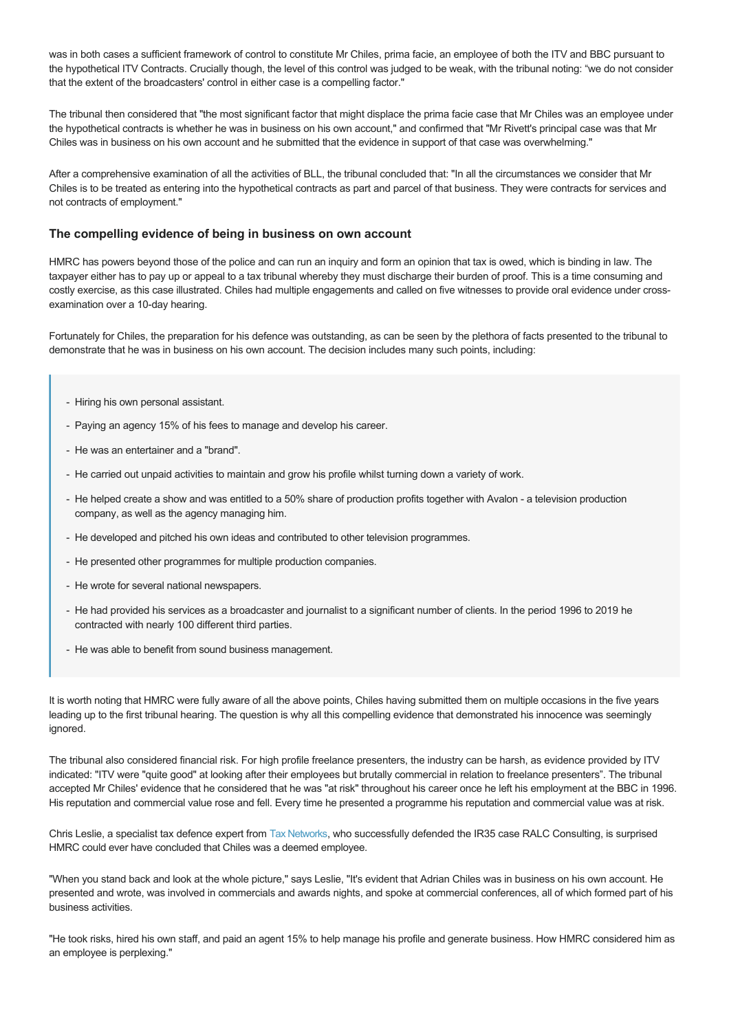was in both cases a sufficient framework of control to constitute Mr Chiles, prima facie, an employee of both the ITV and BBC pursuant to the hypothetical ITV Contracts. Crucially though, the level of this control was judged to be weak, with the tribunal noting: "we do not consider that the extent of the broadcasters' control in either case is a compelling factor."

The tribunal then considered that "the most significant factor that might displace the prima facie case that Mr Chiles was an employee under the hypothetical contracts is whether he was in business on his own account," and confirmed that "Mr Rivett's principal case was that Mr Chiles was in business on his own account and he submitted that the evidence in support of that case was overwhelming."

After a comprehensive examination of all the activities of BLL, the tribunal concluded that: "In all the circumstances we consider that Mr Chiles is to be treated as entering into the hypothetical contracts as part and parcel of that business. They were contracts for services and not contracts of employment."

#### **The compelling evidence of being in business on own account**

HMRC has powers beyond those of the police and can run an inquiry and form an opinion that tax is owed, which is binding in law. The taxpayer either has to pay up or appeal to a tax tribunal whereby they must discharge their burden of proof. This is a time consuming and costly exercise, as this case illustrated. Chiles had multiple engagements and called on five witnesses to provide oral evidence under crossexamination over a 10-day hearing.

Fortunately for Chiles, the preparation for his defence was outstanding, as can be seen by the plethora of facts presented to the tribunal to demonstrate that he was in business on his own account. The decision includes many such points, including:

- Hiring his own personal assistant.
- Paying an agency 15% of his fees to manage and develop his career.
- He was an entertainer and a "brand".
- He carried out unpaid activities to maintain and grow his profile whilst turning down a variety of work.
- He helped create a show and was entitled to a 50% share of production profits together with Avalon a television production company, as well as the agency managing him.
- He developed and pitched his own ideas and contributed to other television programmes.
- He presented other programmes for multiple production companies.
- He wrote for several national newspapers.
- He had provided his services as a broadcaster and journalist to a significant number of clients. In the period 1996 to 2019 he contracted with nearly 100 different third parties.
- He was able to benefit from sound business management.

It is worth noting that HMRC were fully aware of all the above points, Chiles having submitted them on multiple occasions in the five years leading up to the first tribunal hearing. The question is why all this compelling evidence that demonstrated his innocence was seemingly ignored.

The tribunal also considered financial risk. For high profile freelance presenters, the industry can be harsh, as evidence provided by ITV indicated: "ITV were "quite good" at looking after their employees but brutally commercial in relation to freelance presenters". The tribunal accepted Mr Chiles' evidence that he considered that he was "at risk" throughout his career once he left his employment at the BBC in 1996. His reputation and commercial value rose and fell. Every time he presented a programme his reputation and commercial value was at risk.

Chris Leslie, a specialist tax defence expert from [Tax Networks](http://www.taxnetworks.co.uk/), who successfully defended the IR35 case RALC Consulting, is surprised HMRC could ever have concluded that Chiles was a deemed employee.

"When you stand back and look at the whole picture," says Leslie, "It's evident that Adrian Chiles was in business on his own account. He presented and wrote, was involved in commercials and awards nights, and spoke at commercial conferences, all of which formed part of his business activities.

"He took risks, hired his own staff, and paid an agent 15% to help manage his profile and generate business. How HMRC considered him as an employee is perplexing."